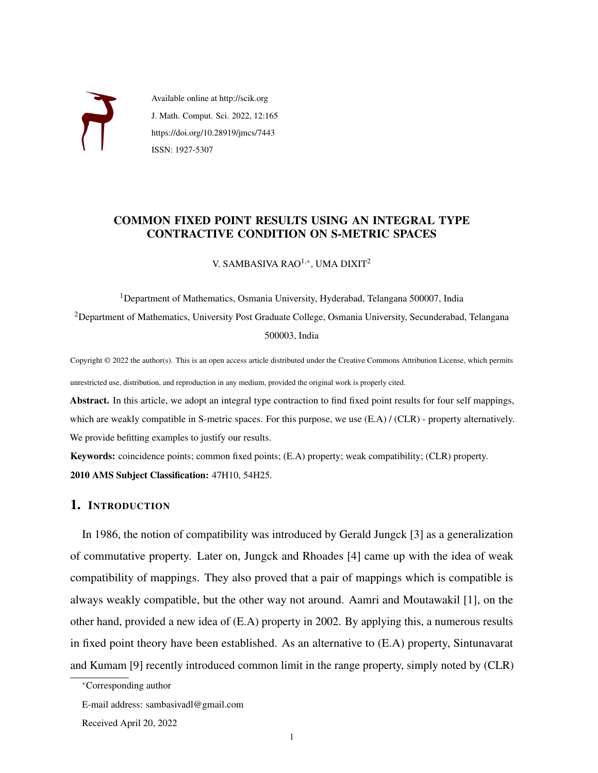

Available online at http://scik.org J. Math. Comput. Sci. 2022, 12:165 https://doi.org/10.28919/jmcs/7443 ISSN: 1927-5307

# COMMON FIXED POINT RESULTS USING AN INTEGRAL TYPE CONTRACTIVE CONDITION ON S-METRIC SPACES

V. SAMBASIVA RAO<sup>1,∗</sup>, UMA DIXIT<sup>2</sup>

<sup>1</sup>Department of Mathematics, Osmania University, Hyderabad, Telangana 500007, India <sup>2</sup>Department of Mathematics, University Post Graduate College, Osmania University, Secunderabad, Telangana 500003, India

Copyright © 2022 the author(s). This is an open access article distributed under the Creative Commons Attribution License, which permits unrestricted use, distribution, and reproduction in any medium, provided the original work is properly cited.

Abstract. In this article, we adopt an integral type contraction to find fixed point results for four self mappings, which are weakly compatible in S-metric spaces. For this purpose, we use  $(E.A) / (CLR)$  - property alternatively. We provide befitting examples to justify our results.

Keywords: coincidence points; common fixed points; (E.A) property; weak compatibility; (CLR) property. 2010 AMS Subject Classification: 47H10, 54H25.

# 1. INTRODUCTION

In 1986, the notion of compatibility was introduced by Gerald Jungck [\[3\]](#page-15-0) as a generalization of commutative property. Later on, Jungck and Rhoades [\[4\]](#page-15-1) came up with the idea of weak compatibility of mappings. They also proved that a pair of mappings which is compatible is always weakly compatible, but the other way not around. Aamri and Moutawakil [\[1\]](#page-15-2), on the other hand, provided a new idea of (E.A) property in 2002. By applying this, a numerous results in fixed point theory have been established. As an alternative to (E.A) property, Sintunavarat and Kumam [\[9\]](#page-15-3) recently introduced common limit in the range property, simply noted by (CLR)

<sup>∗</sup>Corresponding author

E-mail address: sambasivadl@gmail.com

Received April 20, 2022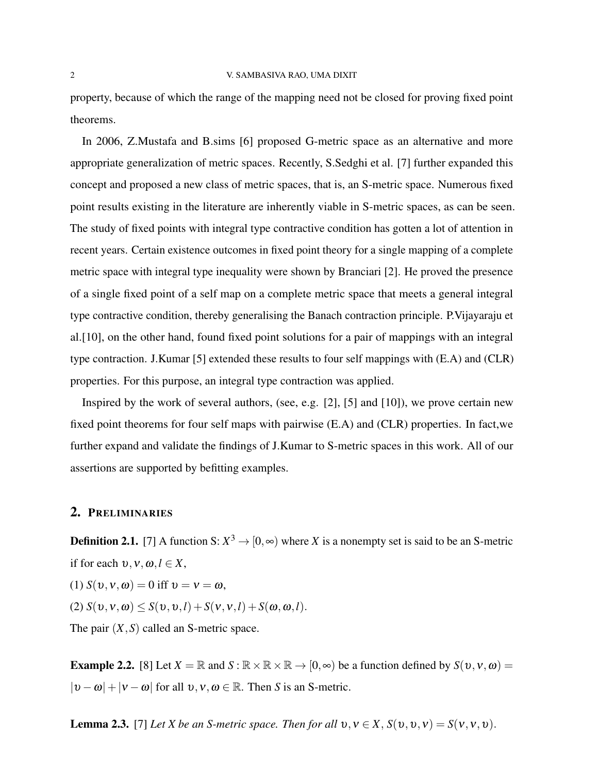property, because of which the range of the mapping need not be closed for proving fixed point theorems.

In 2006, Z.Mustafa and B.sims [\[6\]](#page-15-4) proposed G-metric space as an alternative and more appropriate generalization of metric spaces. Recently, S.Sedghi et al. [\[7\]](#page-15-5) further expanded this concept and proposed a new class of metric spaces, that is, an S-metric space. Numerous fixed point results existing in the literature are inherently viable in S-metric spaces, as can be seen. The study of fixed points with integral type contractive condition has gotten a lot of attention in recent years. Certain existence outcomes in fixed point theory for a single mapping of a complete metric space with integral type inequality were shown by Branciari [\[2\]](#page-15-6). He proved the presence of a single fixed point of a self map on a complete metric space that meets a general integral type contractive condition, thereby generalising the Banach contraction principle. P.Vijayaraju et al.[\[10\]](#page-15-7), on the other hand, found fixed point solutions for a pair of mappings with an integral type contraction. J.Kumar [\[5\]](#page-15-8) extended these results to four self mappings with (E.A) and (CLR) properties. For this purpose, an integral type contraction was applied.

Inspired by the work of several authors, (see, e.g. [\[2\]](#page-15-6), [\[5\]](#page-15-8) and [\[10\]](#page-15-7)), we prove certain new fixed point theorems for four self maps with pairwise (E.A) and (CLR) properties. In fact,we further expand and validate the findings of J.Kumar to S-metric spaces in this work. All of our assertions are supported by befitting examples.

### 2. PRELIMINARIES

**Definition 2.1.** [\[7\]](#page-15-5) A function S:  $X^3 \to [0, \infty)$  where X is a nonempty set is said to be an S-metric if for each  $v, v, \omega, l \in X$ ,

(1)  $S(v, v, \omega) = 0$  iff  $v = v = \omega$ ,

 $(S(\nu, \nu, \omega) \leq S(\nu, \nu, l) + S(\nu, \nu, l) + S(\omega, \omega, l).$ 

The pair (*X*,*S*) called an S-metric space.

**Example 2.2.** [\[8\]](#page-15-9) Let  $X = \mathbb{R}$  and  $S : \mathbb{R} \times \mathbb{R} \times \mathbb{R} \to [0, \infty)$  be a function defined by  $S(v, v, \omega) =$  $|v - \omega| + |v - \omega|$  for all  $v, v, \omega \in \mathbb{R}$ . Then *S* is an *S*-metric.

**Lemma 2.3.** [\[7\]](#page-15-5) *Let X be an S-metric space. Then for all*  $v, v \in X$ ,  $S(v, v, v) = S(v, v, v)$ .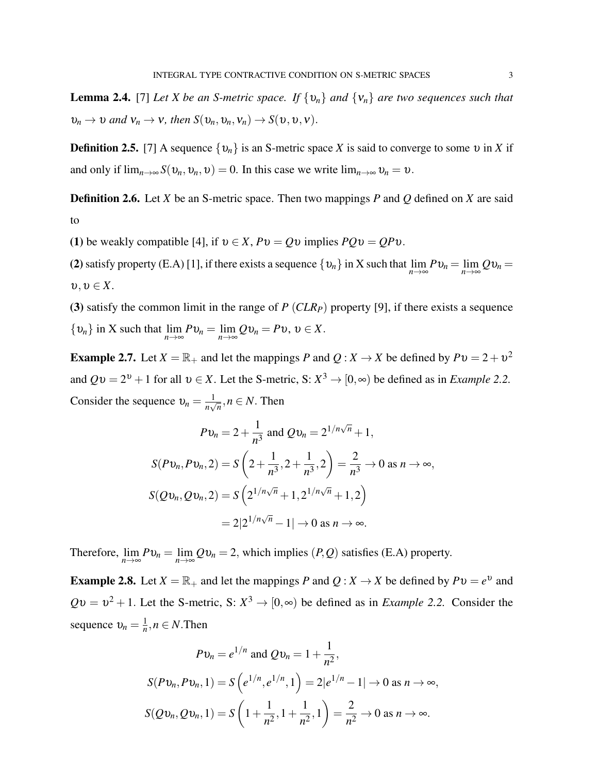**Lemma 2.4.** [\[7\]](#page-15-5) *Let X be an S-metric space. If*  $\{v_n\}$  *and*  $\{v_n\}$  *are two sequences such that*  $v_n \to v$  *and*  $v_n \to v$ *, then*  $S(v_n, v_n, v_n) \to S(v, v, v)$ .

**Definition 2.5.** [\[7\]](#page-15-5) A sequence  $\{v_n\}$  is an S-metric space *X* is said to converge to some v in *X* if and only if  $\lim_{n\to\infty} S(v_n, v_n, v) = 0$ . In this case we write  $\lim_{n\to\infty} v_n = v$ .

Definition 2.6. Let *X* be an S-metric space. Then two mappings *P* and *Q* defined on *X* are said to

(1) be weakly compatible [\[4\]](#page-15-1), if  $v \in X$ ,  $Pv = Qv$  implies  $PQv = QPv$ .

(2) satisfy property (E.A) [\[1\]](#page-15-2), if there exists a sequence  $\{v_n\}$  in X such that  $\lim_{n\to\infty}Pv_n = \lim_{n\to\infty}Qv_n =$  $v, v \in X$ .

(3) satisfy the common limit in the range of *P* (*CLRP*) property [\[9\]](#page-15-3), if there exists a sequence { $v_n$ } in X such that  $\lim_{n \to \infty} P v_n = \lim_{n \to \infty} Q v_n = P v$ ,  $v \in X$ .

**Example 2.7.** Let  $X = \mathbb{R}_+$  and let the mappings *P* and  $Q: X \to X$  be defined by  $Pv = 2 + v^2$ and  $Qv = 2^v + 1$  for all  $v \in X$ . Let the S-metric, S:  $X^3 \to [0, \infty)$  be defined as in *Example 2.2.* Consider the sequence  $v_n = \frac{1}{n}$  $\frac{1}{n\sqrt{n}}, n \in N$ . Then

$$
Pv_n = 2 + \frac{1}{n^3} \text{ and } Qv_n = 2^{1/n\sqrt{n}} + 1,
$$
  
\n
$$
S(Pv_n, Pv_n, 2) = S\left(2 + \frac{1}{n^3}, 2 + \frac{1}{n^3}, 2\right) = \frac{2}{n^3} \to 0 \text{ as } n \to \infty,
$$
  
\n
$$
S(Qv_n, Qv_n, 2) = S\left(2^{1/n\sqrt{n}} + 1, 2^{1/n\sqrt{n}} + 1, 2\right)
$$
  
\n
$$
= 2|2^{1/n\sqrt{n}} - 1| \to 0 \text{ as } n \to \infty.
$$

Therefore,  $\lim_{n\to\infty} Pv_n = \lim_{n\to\infty} Qv_n = 2$ , which implies  $(P,Q)$  satisfies (E.A) property.

**Example 2.8.** Let  $X = \mathbb{R}_+$  and let the mappings *P* and  $Q: X \to X$  be defined by  $Pv = e^v$  and  $Qv = v^2 + 1$ . Let the S-metric, S:  $X^3 \to [0, \infty)$  be defined as in *Example 2.2.* Consider the sequence  $v_n = \frac{1}{n}$  $\frac{1}{n}, n \in N$ . Then

$$
Pv_n = e^{1/n} \text{ and } Qv_n = 1 + \frac{1}{n^2},
$$
  
\n
$$
S(Pv_n, Pv_n, 1) = S\left(e^{1/n}, e^{1/n}, 1\right) = 2|e^{1/n} - 1| \to 0 \text{ as } n \to \infty,
$$
  
\n
$$
S(Qv_n, Qv_n, 1) = S\left(1 + \frac{1}{n^2}, 1 + \frac{1}{n^2}, 1\right) = \frac{2}{n^2} \to 0 \text{ as } n \to \infty.
$$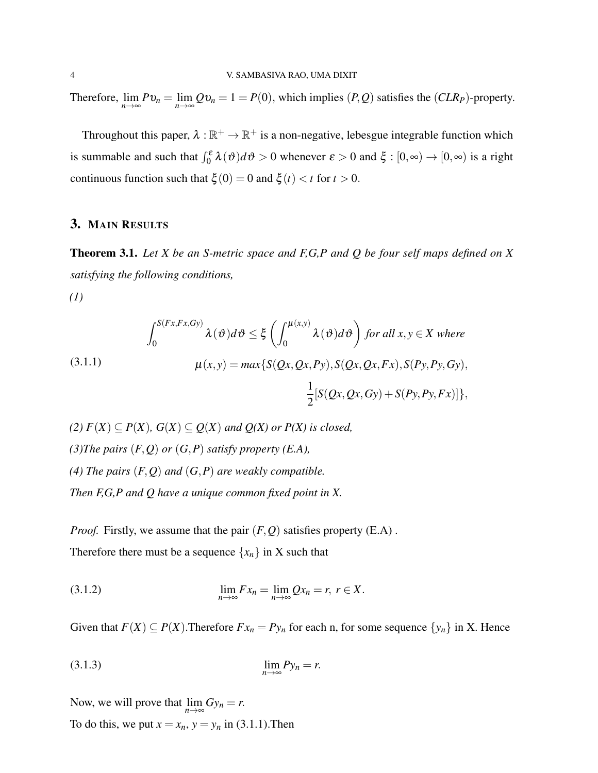Therefore,  $\lim_{n\to\infty} Pv_n = \lim_{n\to\infty} Qv_n = 1 = P(0)$ , which implies  $(P,Q)$  satisfies the  $(CLR_P)$ -property.

Throughout this paper,  $\lambda : \mathbb{R}^+ \to \mathbb{R}^+$  is a non-negative, lebesgue integrable function which is summable and such that  $\int_0^{\varepsilon} \lambda(\vartheta) d\vartheta > 0$  whenever  $\varepsilon > 0$  and  $\xi : [0, \infty) \to [0, \infty)$  is a right continuous function such that  $\xi(0) = 0$  and  $\xi(t) < t$  for  $t > 0$ .

## 3. MAIN RESULTS

Theorem 3.1. *Let X be an S-metric space and F,G,P and Q be four self maps defined on X satisfying the following conditions,*

<span id="page-3-0"></span>*(1)*

(3.1.1) 
$$
\int_0^{S(Fx, Fx, Gy)} \lambda(\vartheta) d\vartheta \leq \xi \left( \int_0^{\mu(x, y)} \lambda(\vartheta) d\vartheta \right) \text{ for all } x, y \in X \text{ where}
$$

$$
\mu(x, y) = \max \{ S(Qx, Qx, Py), S(Qx, Qx, Fx), S(Py, Py, Gy), \frac{1}{2} [S(Qx, Qx, Gy) + S(Py, Py, Fx)] \},
$$

*(2)*  $F(X) ⊆ P(X)$ ,  $G(X) ⊆ Q(X)$  *and*  $Q(X)$  *or*  $P(X)$  *is closed, (3)The pairs* (*F*,*Q*) *or* (*G*,*P*) *satisfy property (E.A), (4) The pairs* (*F*,*Q*) *and* (*G*,*P*) *are weakly compatible. Then F,G,P and Q have a unique common fixed point in X.*

<span id="page-3-1"></span>*Proof.* Firstly, we assume that the pair  $(F, Q)$  satisfies property  $(E.A)$ . Therefore there must be a sequence  $\{x_n\}$  in X such that

<span id="page-3-2"></span>
$$
\lim_{n\to\infty} Fx_n = \lim_{n\to\infty} Qx_n = r, \ r \in X.
$$

Given that  $F(X) \subseteq P(X)$ . Therefore  $Fx_n = Py_n$  for each n, for some sequence  $\{y_n\}$  in X. Hence

$$
\lim_{n \to \infty} P y_n = r.
$$

Now, we will prove that  $\lim_{n \to \infty} Gy_n = r$ .

To do this, we put  $x = x_n$ ,  $y = y_n$  in [\(3.1.1\)](#page-3-0). Then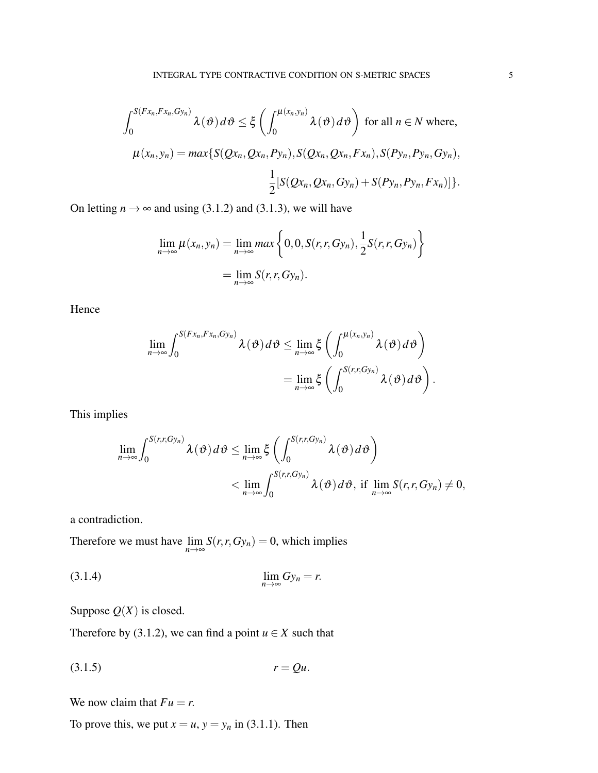$$
\int_0^{S(Fx_n, Fx_n, Gy_n)} \lambda(\vartheta) d\vartheta \leq \xi \left( \int_0^{\mu(x_n, y_n)} \lambda(\vartheta) d\vartheta \right) \text{ for all } n \in N \text{ where,}
$$
  

$$
\mu(x_n, y_n) = \max \{ S(Qx_n, Qx_n, Py_n), S(Qx_n, Qx_n, Fx_n), S(Py_n, Py_n, Gy_n), \frac{1}{2} [S(Qx_n, Qx_n, Gy_n) + S(Py_n, Py_n, Fx_n)] \}.
$$

On letting  $n \to \infty$  and using [\(3.1.2\)](#page-3-1) and [\(3.1.3\)](#page-3-2), we will have

$$
\lim_{n \to \infty} \mu(x_n, y_n) = \lim_{n \to \infty} \max \left\{ 0, 0, S(r, r, Gy_n), \frac{1}{2} S(r, r, Gy_n) \right\}
$$

$$
= \lim_{n \to \infty} S(r, r, Gy_n).
$$

Hence

$$
\lim_{n\to\infty}\int_0^{S(Fx_n,Fx_n,Gy_n)}\lambda(\vartheta)d\vartheta\leq \lim_{n\to\infty}\xi\left(\int_0^{\mu(x_n,y_n)}\lambda(\vartheta)d\vartheta\right)
$$

$$
=\lim_{n\to\infty}\xi\left(\int_0^{S(r,r,Gy_n)}\lambda(\vartheta)d\vartheta\right).
$$

This implies

<span id="page-4-0"></span>
$$
\lim_{n\to\infty}\int_0^{S(r,r,Gy_n)}\lambda(\vartheta)d\vartheta\leq \lim_{n\to\infty}\xi\left(\int_0^{S(r,r,Gy_n)}\lambda(\vartheta)d\vartheta\right)
$$

$$
<\lim_{n\to\infty}\int_0^{S(r,r,Gy_n)}\lambda(\vartheta)d\vartheta,\text{ if }\lim_{n\to\infty}S(r,r,Gy_n)\neq 0,
$$

a contradiction.

Therefore we must have  $\lim_{n \to \infty} S(r, r, Gy_n) = 0$ , which implies

$$
\lim_{n \to \infty} Gy_n = r.
$$

<span id="page-4-1"></span>Suppose  $Q(X)$  is closed.

Therefore by [\(3.1.2\)](#page-3-1), we can find a point  $u \in X$  such that

$$
(3.1.5) \t\t\t r = Qu.
$$

We now claim that  $Fu = r$ .

To prove this, we put  $x = u$ ,  $y = y_n$  in [\(3.1.1\)](#page-3-0). Then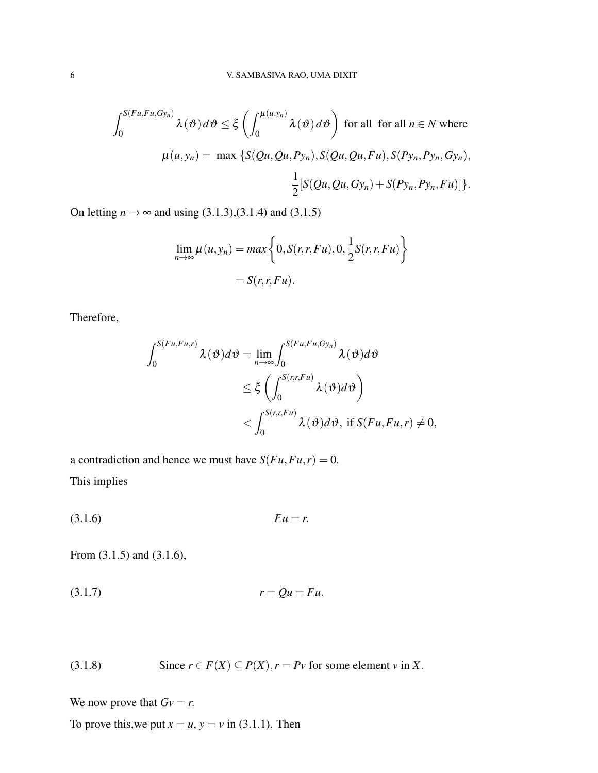$$
\int_0^{S(Fu, Fu, Gy_n)} \lambda(\vartheta) d\vartheta \le \xi \left( \int_0^{\mu(u, y_n)} \lambda(\vartheta) d\vartheta \right) \text{ for all for all } n \in N \text{ where}
$$

$$
\mu(u, y_n) = \max \left\{ S(Qu, Qu, Py_n), S(Qu, Qu, Fu), S(Py_n, Py_n, Gy_n), \frac{1}{2} [S(Qu, Qu, Gy_n) + S(Py_n, Py_n, Fu)] \right\}.
$$

On letting  $n \rightarrow \infty$  and using [\(3.1.3\)](#page-3-2),[\(3.1.4\)](#page-4-0) and [\(3.1.5\)](#page-4-1)

$$
\lim_{n \to \infty} \mu(u, y_n) = max \left\{ 0, S(r, r, Fu), 0, \frac{1}{2} S(r, r, Fu) \right\}
$$

$$
= S(r, r, Fu).
$$

Therefore,

$$
\int_{0}^{S(Fu,Fu,r)} \lambda(\vartheta)d\vartheta = \lim_{n \to \infty} \int_{0}^{S(Fu,Fu,Gy_n)} \lambda(\vartheta)d\vartheta
$$
  
\$\leq \xi \left( \int\_{0}^{S(r,r,Fu)} \lambda(\vartheta)d\vartheta \right)\$  
\$< \int\_{0}^{S(r,r,Fu)} \lambda(\vartheta)d\vartheta\$, if \$S(Fu,Fu,r) \neq 0\$,

<span id="page-5-0"></span>a contradiction and hence we must have  $S(Fu, Fu, r) = 0$ . This implies

(3.1.6) *Fu* = *r*.

<span id="page-5-1"></span>From [\(3.1.5\)](#page-4-1) and [\(3.1.6\)](#page-5-0),

<span id="page-5-2"></span>
$$
(3.1.7) \t\t\t r = Qu = Fu.
$$

(3.1.8) Since  $r \in F(X) \subseteq P(X)$ ,  $r = Pv$  for some element *v* in *X*.

We now prove that  $Gv = r$ .

To prove this, we put  $x = u$ ,  $y = v$  in [\(3.1.1\)](#page-3-0). Then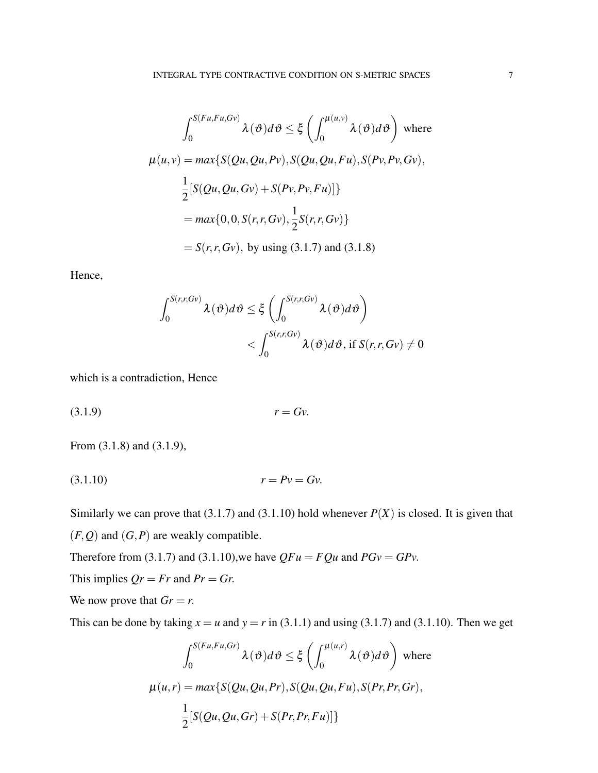$$
\int_0^{S(Fu, Fu, Gv)} \lambda(\vartheta) d\vartheta \le \xi \left( \int_0^{\mu(u, v)} \lambda(\vartheta) d\vartheta \right) \text{ where}
$$
  

$$
\mu(u, v) = \max \{ S(Qu, Qu, Pv), S(Qu, Qu, Fu), S(Pu, Pv, Gv),
$$
  

$$
\frac{1}{2} [S(Qu, Qu, Gv) + S(Pu, Pv, Fu)] \}
$$
  

$$
= \max \{ 0, 0, S(r, r, Gv), \frac{1}{2} S(r, r, Gv) \}
$$
  

$$
= S(r, r, Gv), \text{ by using (3.1.7) and (3.1.8)}
$$

Hence,

<span id="page-6-0"></span>
$$
\int_0^{S(r,r,Gv)} \lambda(\vartheta)d\vartheta \leq \xi \left( \int_0^{S(r,r,Gv)} \lambda(\vartheta)d\vartheta \right) \n< \int_0^{S(r,r,Gv)} \lambda(\vartheta)d\vartheta, \text{ if } S(r,r,Gv) \neq 0
$$

which is a contradiction, Hence

<span id="page-6-1"></span>
$$
(3.1.9) \t\t\t r = Gv.
$$

From [\(3.1.8\)](#page-5-2) and [\(3.1.9\)](#page-6-0),

$$
(3.1.10) \t\t\t r = Pv = Gv.
$$

Similarly we can prove that [\(3.1.7\)](#page-5-1) and [\(3.1.10\)](#page-6-1) hold whenever  $P(X)$  is closed. It is given that  $(F, Q)$  and  $(G, P)$  are weakly compatible.

Therefore from [\(3.1.7\)](#page-5-1) and [\(3.1.10\)](#page-6-1), we have  $QFu = FQu$  and  $PGv = GPv$ .

This implies  $Qr = Fr$  and  $Pr = Gr$ .

We now prove that  $Gr = r$ .

This can be done by taking  $x = u$  and  $y = r$  in [\(3.1.1\)](#page-3-0) and using [\(3.1.7\)](#page-5-1) and [\(3.1.10\)](#page-6-1). Then we get

$$
\int_0^{S(Fu, Fu, Gr)} \lambda(\vartheta) d\vartheta \le \xi \left( \int_0^{\mu(u,r)} \lambda(\vartheta) d\vartheta \right) \text{ where}
$$
  

$$
\mu(u,r) = \max \{ S(Qu, Qu, Pr), S(Qu, Qu, Fu), S(Pr, Pr, Gr),
$$
  

$$
\frac{1}{2} [S(Qu, Qu, Gr) + S(Pr, Pr, Fu)] \}
$$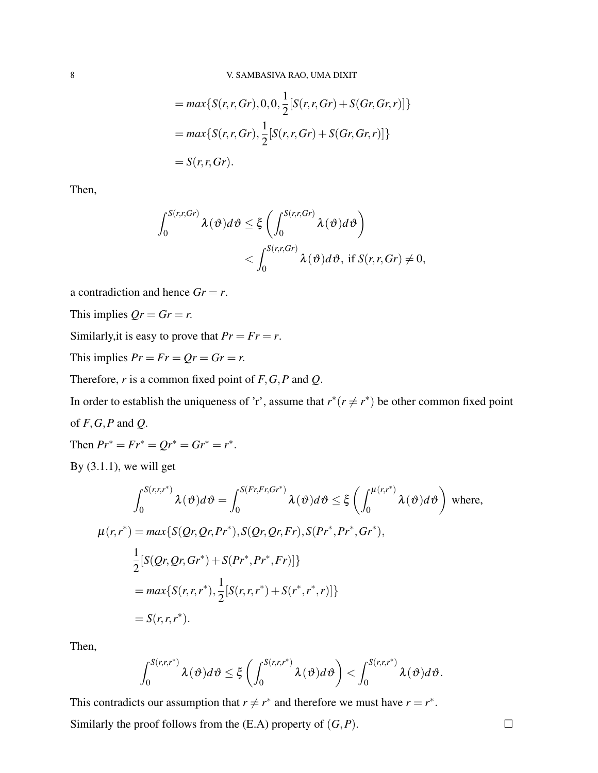$$
= max\{S(r,r,Gr), 0, 0, \frac{1}{2}[S(r,r,Gr) + S(Gr,Gr,r)]\}
$$
  
= 
$$
max\{S(r,r,Gr), \frac{1}{2}[S(r,r,Gr) + S(Gr,Gr,r)]\}
$$
  
= 
$$
S(r,r,Gr).
$$

Then,

$$
\int_0^{S(r,r,Gr)} \lambda(\vartheta) d\vartheta \leq \xi \left( \int_0^{S(r,r,Gr)} \lambda(\vartheta) d\vartheta \right) \n< \int_0^{S(r,r,Gr)} \lambda(\vartheta) d\vartheta, \text{ if } S(r,r,Gr) \neq 0,
$$

a contradiction and hence  $Gr = r$ .

This implies  $Qr = Gr = r$ .

Similarly, it is easy to prove that  $Pr = Fr = r$ .

This implies  $Pr = Fr = Qr = Gr = r$ .

Therefore, *r* is a common fixed point of *F*,*G*,*P* and *Q*.

In order to establish the uniqueness of 'r', assume that  $r^*(r \neq r^*)$  be other common fixed point of *F*,*G*,*P* and *Q*.

Then  $Pr^* = Fr^* = Qr^* = Gr^* = r^*.$ By  $(3.1.1)$ , we will get

By 
$$
(3.1.1)
$$
, we will get

$$
\int_{0}^{S(r,r,r^{*})} \lambda(\vartheta) d\vartheta = \int_{0}^{S(Fr,Fr,Gr^{*})} \lambda(\vartheta) d\vartheta \leq \xi \left( \int_{0}^{\mu(r,r^{*})} \lambda(\vartheta) d\vartheta \right) \text{ where,}
$$
  

$$
\mu(r,r^{*}) = \max \{ S(Qr,Qr,Pr^{*}), S(Qr,Qr,Fr), S(Pr^{*},Pr^{*},Gr^{*}),
$$

$$
\frac{1}{2} [S(Qr,Qr,Gr^{*}) + S(Pr^{*},Pr^{*},Fr)] \}
$$

$$
= \max \{ S(r,r,r^{*}), \frac{1}{2} [S(r,r,r^{*}) + S(r^{*},r^{*},r)] \}
$$

$$
= S(r,r,r^{*}).
$$

Then,

$$
\int_0^{S(r,r,r^*)}\lambda(\vartheta)d\vartheta\leq \xi\left(\int_0^{S(r,r,r^*)}\lambda(\vartheta)d\vartheta\right)<\int_0^{S(r,r,r^*)}\lambda(\vartheta)d\vartheta.
$$

This contradicts our assumption that  $r \neq r^*$  and therefore we must have  $r = r^*$ . Similarly the proof follows from the  $(E.A)$  property of  $(G, P)$ .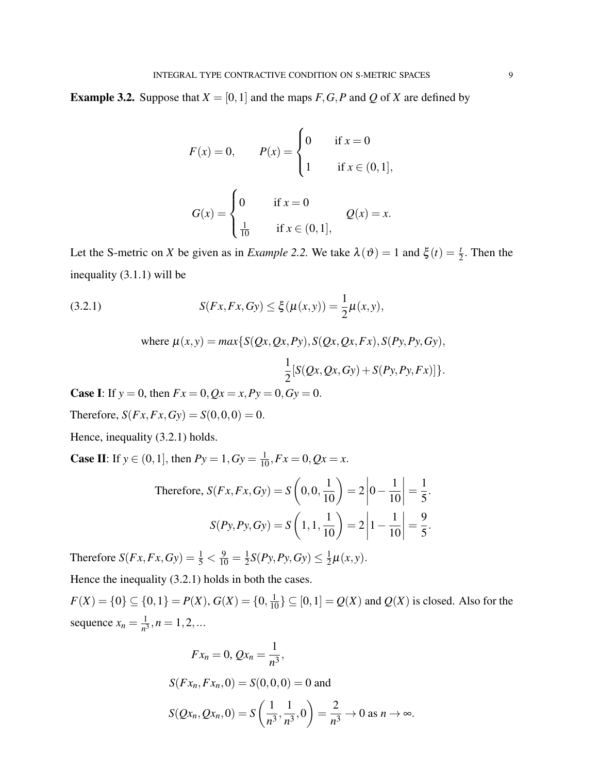**Example 3.2.** Suppose that  $X = [0, 1]$  and the maps  $F, G, P$  and  $Q$  of  $X$  are defined by

$$
F(x) = 0, \t P(x) = \begin{cases} 0 & \text{if } x = 0 \\ 1 & \text{if } x \in (0, 1], \end{cases}
$$

$$
G(x) = \begin{cases} 0 & \text{if } x = 0 \\ \frac{1}{10} & \text{if } x \in (0, 1], \end{cases} Q(x) = x.
$$

Let the S-metric on *X* be given as in *Example 2.2*. We take  $\lambda(\vartheta) = 1$  and  $\xi(t) = \frac{t}{2}$ . Then the inequality [\(3.1.1\)](#page-3-0) will be

(3.2.1) 
$$
S(Fx, Fx, Gy) \le \xi(\mu(x, y)) = \frac{1}{2}\mu(x, y),
$$

<span id="page-8-0"></span>where 
$$
\mu(x, y) = max\{S(Qx, Qx, Py), S(Qx, Qx, Fx), S(Py, Py, Gy),
$$
  

$$
\frac{1}{2}[S(Qx, Qx, Gy) + S(Py, Py, Fx)]\}.
$$

**Case I:** If  $y = 0$ , then  $Fx = 0$ ,  $Qx = x$ ,  $Py = 0$ ,  $Gy = 0$ .

Therefore,  $S(Fx, Fx, Gy) = S(0, 0, 0) = 0.$ 

Hence, inequality [\(3.2.1\)](#page-8-0) holds.

**Case II:** If  $y \in (0, 1]$ , then  $Py = 1$ ,  $Gy = \frac{1}{10}$ ,  $Fx = 0$ ,  $Qx = x$ .

Therefore, 
$$
S(Fx, Fx, Gy) = S\left(0, 0, \frac{1}{10}\right) = 2\left|0 - \frac{1}{10}\right| = \frac{1}{5}.
$$
  

$$
S(Py, Py, Gy) = S\left(1, 1, \frac{1}{10}\right) = 2\left|1 - \frac{1}{10}\right| = \frac{9}{5}.
$$

Therefore  $S(Fx, Fx, Gy) = \frac{1}{5} < \frac{9}{10} = \frac{1}{2}$  $\frac{1}{2}S(Py, Py, Gy) \leq \frac{1}{2}$  $\frac{1}{2}\mu(x,y)$ .

Hence the inequality  $(3.2.1)$  holds in both the cases.

 $F(X) = \{0\} \subseteq \{0, 1\} = P(X), G(X) = \{0, \frac{1}{10}\} \subseteq [0, 1] = Q(X)$  and  $Q(X)$  is closed. Also for the sequence  $x_n = \frac{1}{n^2}$  $\frac{1}{n^3}, n = 1, 2, ...$ 

$$
Fx_n = 0, Qx_n = \frac{1}{n^3},
$$
  
\n
$$
S(Fx_n, Fx_n, 0) = S(0, 0, 0) = 0 \text{ and}
$$
  
\n
$$
S(Qx_n, Qx_n, 0) = S\left(\frac{1}{n^3}, \frac{1}{n^3}, 0\right) = \frac{2}{n^3} \to 0 \text{ as } n \to \infty.
$$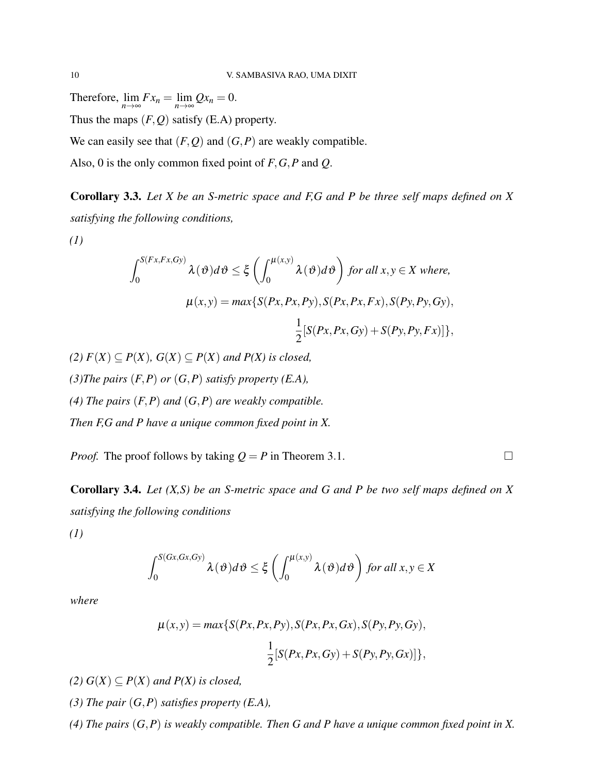Therefore,  $\lim_{n \to \infty} Fx_n = \lim_{n \to \infty} Qx_n = 0.$ Thus the maps (*F*,*Q*) satisfy (E.A) property.

We can easily see that  $(F, Q)$  and  $(G, P)$  are weakly compatible.

Also, 0 is the only common fixed point of *F*,*G*,*P* and *Q*.

Corollary 3.3. *Let X be an S-metric space and F,G and P be three self maps defined on X satisfying the following conditions,*

*(1)*

$$
\int_0^{S(Fx, Fx, Gy)} \lambda(\vartheta) d\vartheta \le \xi \left( \int_0^{\mu(x, y)} \lambda(\vartheta) d\vartheta \right) \text{ for all } x, y \in X \text{ where,}
$$

$$
\mu(x, y) = \max \{ S(Px, Px, Py), S(Px, Px, Fx), S(Py, Py, Gy), \frac{1}{2} [S(Px, Px, Gy) + S(Py, Py, Fx)] \},
$$

*(2)*  $F(X) ⊂ P(X)$ ,  $G(X) ⊂ P(X)$  *and*  $P(X)$  *is closed,* 

*(3)The pairs* (*F*,*P*) *or* (*G*,*P*) *satisfy property (E.A),*

*(4) The pairs* (*F*,*P*) *and* (*G*,*P*) *are weakly compatible.*

*Then F,G and P have a unique common fixed point in X.*

*Proof.* The proof follows by taking  $Q = P$  in Theorem 3.1.

Corollary 3.4. *Let (X,S) be an S-metric space and G and P be two self maps defined on X satisfying the following conditions*

*(1)*

$$
\int_0^{S(Gx,Gx,Gy)} \lambda(\vartheta)d\vartheta \leq \xi \left( \int_0^{\mu(x,y)} \lambda(\vartheta)d\vartheta \right) \text{ for all } x,y \in X
$$

*where*

$$
\mu(x, y) = max\{S(Px, Px, Py), S(Px, Px, Gx), S(Py, Py, Gy), \frac{1}{2}[S(Px, Px, Gy) + S(Py, Py, Gx)]\},\
$$

*(2)*  $G(X) ⊆ P(X)$  *and*  $P(X)$  *is closed,* 

*(3) The pair* (*G*,*P*) *satisfies property (E.A),*

*(4) The pairs* (*G*,*P*) *is weakly compatible. Then G and P have a unique common fixed point in X.*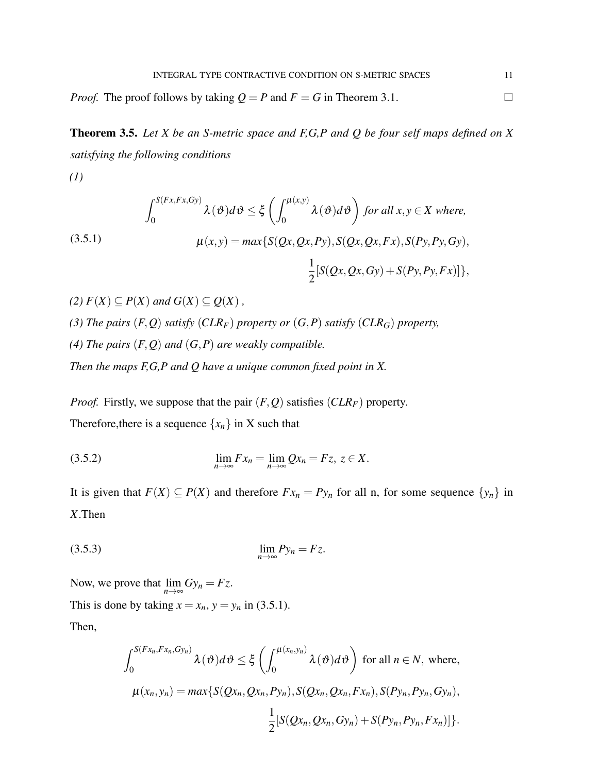*Proof.* The proof follows by taking  $Q = P$  and  $F = G$  in Theorem 3.1.

Theorem 3.5. *Let X be an S-metric space and F,G,P and Q be four self maps defined on X satisfying the following conditions*

<span id="page-10-0"></span>*(1)*

(3.5.1)  
\n
$$
\int_0^{S(Fx, Fx, Gy)} \lambda(\vartheta) d\vartheta \leq \xi \left( \int_0^{\mu(x, y)} \lambda(\vartheta) d\vartheta \right) \text{ for all } x, y \in X \text{ where,}
$$
\n
$$
\mu(x, y) = \max \{ S(Qx, Qx, Py), S(Qx, Qx, Fx), S(Py, Py, Gy), \frac{1}{2} [S(Qx, Qx, Gy) + S(Py, Py, Fx)] \},
$$

*(2)*  $F(X)$  ⊂  $P(X)$  *and*  $G(X)$  ⊂  $Q(X)$ , *(3) The pairs* (*F*,*Q*) *satisfy* (*CLRF*) *property or* (*G*,*P*) *satisfy* (*CLRG*) *property, (4) The pairs* (*F*,*Q*) *and* (*G*,*P*) *are weakly compatible. Then the maps F,G,P and Q have a unique common fixed point in X.*

<span id="page-10-1"></span>*Proof.* Firstly, we suppose that the pair  $(F, Q)$  satisfies  $(CLR<sub>F</sub>)$  property. Therefore, there is a sequence  $\{x_n\}$  in X such that

$$
\lim_{n\to\infty} Fx_n = \lim_{n\to\infty} Qx_n = Fz, \ z \in X.
$$

<span id="page-10-2"></span>It is given that  $F(X) \subseteq P(X)$  and therefore  $Fx_n = Py_n$  for all n, for some sequence  $\{y_n\}$  in *X*.Then

$$
\lim_{n \to \infty} P y_n = F z.
$$

Now, we prove that  $\lim_{n \to \infty} Gy_n = Fz$ . This is done by taking  $x = x_n$ ,  $y = y_n$  in [\(3.5.1\)](#page-10-0). Then,

$$
\int_0^{S(Fx_n, Fx_n, Gy_n)} \lambda(\vartheta) d\vartheta \le \xi \left( \int_0^{\mu(x_n, y_n)} \lambda(\vartheta) d\vartheta \right) \text{ for all } n \in N, \text{ where,}
$$
  

$$
\mu(x_n, y_n) = \max \{ S(Qx_n, Qx_n, Py_n), S(Qx_n, Qx_n, Fx_n), S(Py_n, Py_n, Gy_n), \frac{1}{2} [S(Qx_n, Qx_n, Gy_n) + S(Py_n, Py_n, Fx_n)] \}.
$$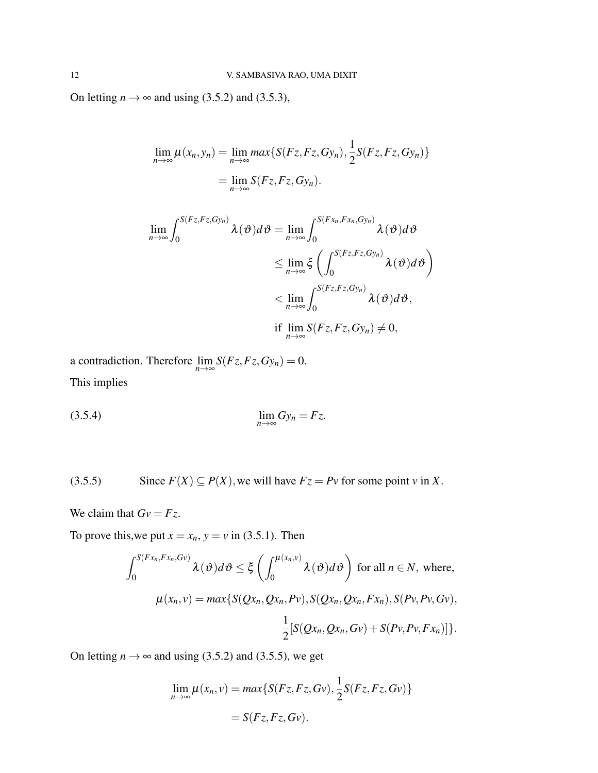On letting  $n \rightarrow \infty$  and using [\(3.5.2\)](#page-10-1) and [\(3.5.3\)](#page-10-2),

$$
\lim_{n \to \infty} \mu(x_n, y_n) = \lim_{n \to \infty} \max \{ S(Fz, Fz, Gy_n), \frac{1}{2} S(Fz, Fz, Gy_n) \}
$$

$$
= \lim_{n \to \infty} S(Fz, Fz, Gy_n).
$$

$$
\lim_{n \to \infty} \int_0^{S(Fz, Fz, Gy_n)} \lambda(\vartheta) d\vartheta = \lim_{n \to \infty} \int_0^{S(Fx_n, Fx_n, Gy_n)} \lambda(\vartheta) d\vartheta
$$
\n
$$
\leq \lim_{n \to \infty} \xi \left( \int_0^{S(Fz, Fz, Gy_n)} \lambda(\vartheta) d\vartheta \right)
$$
\n
$$
< \lim_{n \to \infty} \int_0^{S(Fz, Fz, Gy_n)} \lambda(\vartheta) d\vartheta,
$$
\nif  $\lim_{n \to \infty} S(Fz, Fz, Gy_n) \neq 0$ ,

a contradiction. Therefore  $\lim_{n\to\infty} S(Fz, Fz, Gy_n) = 0.$ This implies

<span id="page-11-0"></span>
$$
\lim_{n \to \infty} Gy_n = Fz.
$$

(3.5.5) Since 
$$
F(X) \subseteq P(X)
$$
, we will have  $Fz = Pv$  for some point v in X.

We claim that  $Gv = Fz$ .

To prove this, we put  $x = x_n$ ,  $y = v$  in [\(3.5.1\)](#page-10-0). Then

$$
\int_0^{S(Fx_n, Fx_n, Gv)} \lambda(\vartheta) d\vartheta \leq \xi \left( \int_0^{\mu(x_n, v)} \lambda(\vartheta) d\vartheta \right) \text{ for all } n \in N, \text{ where,}
$$

$$
\mu(x_n, v) = \max \{ S(Qx_n, Qx_n, Pv), S(Qx_n, Qx_n, Fx_n), S(Pv, Pv, Gv), \frac{1}{2} [S(Qx_n, Qx_n, Gv) + S(Pv, Pv, Fx_n)] \}.
$$

On letting  $n \to \infty$  and using [\(3.5.2\)](#page-10-1) and [\(3.5.5\)](#page-11-0), we get

$$
\lim_{n \to \infty} \mu(x_n, v) = \max \{ S(Fz, Fz, Gv), \frac{1}{2} S(Fz, Fz, Gv) \}
$$

$$
= S(Fz, Fz, Gv).
$$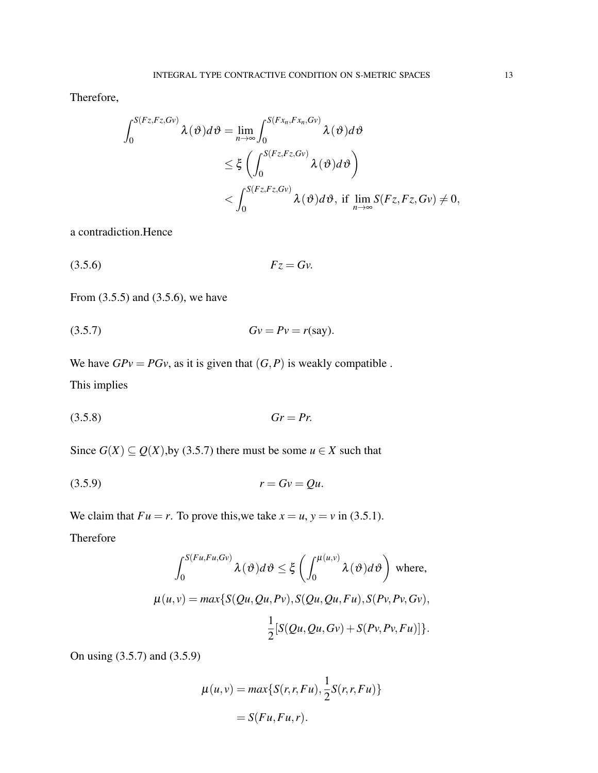Therefore,

$$
\int_{0}^{S(Fz,Fz,Gv)} \lambda(\vartheta)d\vartheta = \lim_{n \to \infty} \int_{0}^{S(Fx_n,Fx_n,Gv)} \lambda(\vartheta)d\vartheta
$$
  
\$\leq \xi \left( \int\_{0}^{S(Fz,Fz,Gv)} \lambda(\vartheta)d\vartheta \right)\$  
\$< \int\_{0}^{S(Fz,Fz,Gv)} \lambda(\vartheta)d\vartheta\$, if \$\lim\_{n \to \infty} S(Fz,Fz,Gv) \neq 0\$,

<span id="page-12-0"></span>a contradiction.Hence

<span id="page-12-1"></span>
$$
(3.5.6) \t\t Fz = Gv.
$$

From [\(3.5.5\)](#page-11-0) and [\(3.5.6\)](#page-12-0), we have

(3.5.7) *Gv* = *Pv* = *r*(say).

<span id="page-12-3"></span>We have  $GPv = PGv$ , as it is given that  $(G, P)$  is weakly compatible. This implies

$$
(3.5.8) \t\t Gr = Pr.
$$

Since  $G(X) \subseteq Q(X)$ , by [\(3.5.7\)](#page-12-1) there must be some  $u \in X$  such that

$$
(3.5.9) \t\t\t r = Gv = Qu.
$$

We claim that  $Fu = r$ . To prove this, we take  $x = u$ ,  $y = v$  in [\(3.5.1\)](#page-10-0).

Therefore

<span id="page-12-2"></span>
$$
\int_0^{S(Fu, Fu, Gv)} \lambda(\vartheta) d\vartheta \le \xi \left( \int_0^{\mu(u, v)} \lambda(\vartheta) d\vartheta \right) \text{ where,}
$$
  

$$
\mu(u, v) = \max \{ S(Qu, Qu, Pv), S(Qu, Qu, Fu), S(Pv, Pv, Gv), \frac{1}{2} [S(Qu, Qu, Gv) + S(Pv, Pv, Fu)] \}.
$$

On using [\(3.5.7\)](#page-12-1) and [\(3.5.9\)](#page-12-2)

$$
\mu(u, v) = \max\{S(r, r, Fu), \frac{1}{2}S(r, r, Fu)\}
$$

$$
= S(Fu, Fu, r).
$$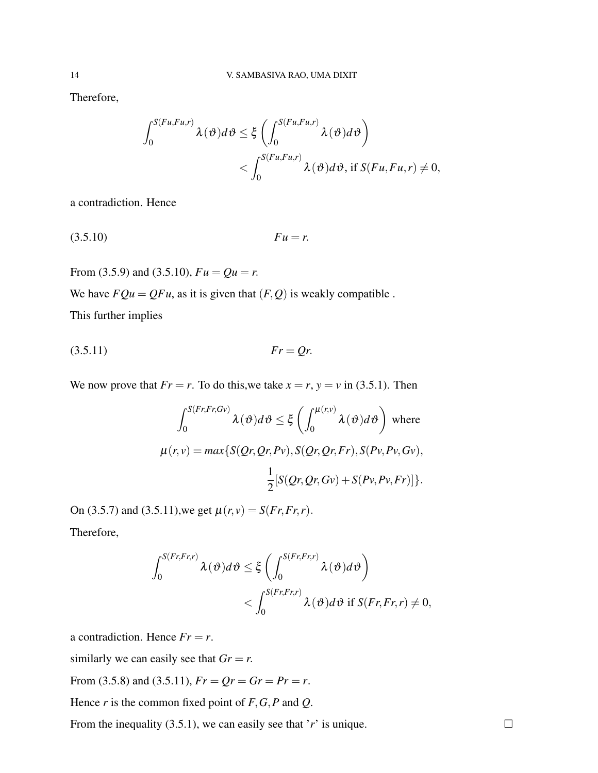Therefore,

<span id="page-13-0"></span>
$$
\int_0^{S(Fu,Fu,r)} \lambda(\vartheta) d\vartheta \leq \xi \left( \int_0^{S(Fu,Fu,r)} \lambda(\vartheta) d\vartheta \right)
$$
  
< 
$$
< \int_0^{S(Fu,Fu,r)} \lambda(\vartheta) d\vartheta, \text{ if } S(Fu,Fu,r) \neq 0,
$$

a contradiction. Hence

(3.5.10) *Fu* = *r*.

From [\(3.5.9\)](#page-12-2) and [\(3.5.10\)](#page-13-0),  $Fu = Qu = r$ . We have  $FQu = QFu$ , as it is given that  $(F, Q)$  is weakly compatible.

<span id="page-13-1"></span>This further implies

(3.5.11) *Fr* = *Qr*.

We now prove that  $Fr = r$ . To do this, we take  $x = r$ ,  $y = v$  in [\(3.5.1\)](#page-10-0). Then

$$
\int_0^{S(Fr, Fr, Gv)} \lambda(\vartheta) d\vartheta \le \xi \left( \int_0^{\mu(r, v)} \lambda(\vartheta) d\vartheta \right) \text{ where}
$$
  

$$
\mu(r, v) = \max \{ S(Qr, Qr, Pv), S(Qr, Qr, Fr), S(Pv, Pv, Gv),
$$
  

$$
\frac{1}{2} [S(Qr, Qr, Gv) + S(Pv, Pv, Fr)] \}.
$$

On [\(3.5.7\)](#page-12-1) and [\(3.5.11\)](#page-13-1), we get  $\mu(r, v) = S(Fr, Fr, r)$ . Therefore,

$$
\int_0^{S(Fr, Fr,r)} \lambda(\vartheta) d\vartheta \leq \xi \left( \int_0^{S(Fr, Fr,r)} \lambda(\vartheta) d\vartheta \right) \n< \int_0^{S(Fr, Fr,r)} \lambda(\vartheta) d\vartheta \text{ if } S(Fr, Fr, r) \neq 0,
$$

a contradiction. Hence  $Fr = r$ .

similarly we can easily see that  $Gr = r$ .

From [\(3.5.8\)](#page-12-3) and [\(3.5.11\)](#page-13-1),  $Fr = Qr = Gr = Pr = r$ .

Hence *r* is the common fixed point of *F*,*G*,*P* and *Q*.

From the inequality [\(3.5.1\)](#page-10-0), we can easily see that '*r*' is unique.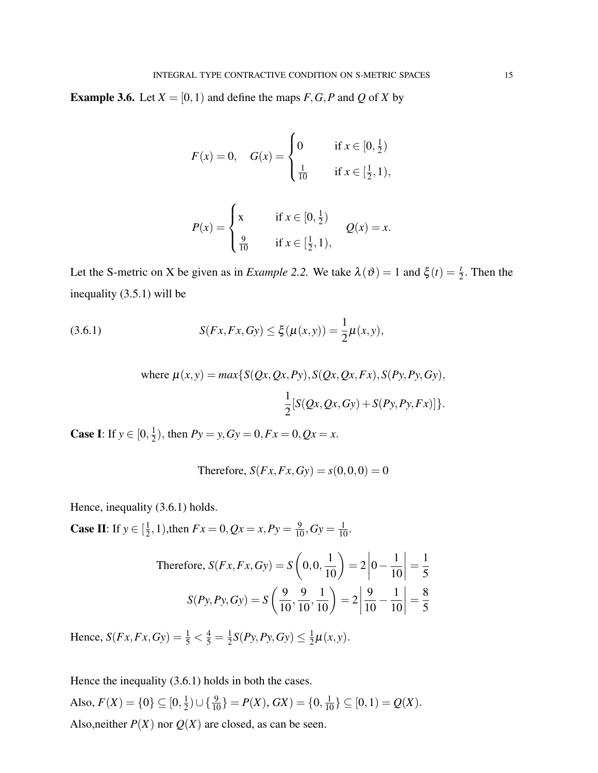**Example 3.6.** Let  $X = [0, 1)$  and define the maps  $F, G, P$  and  $Q$  of  $X$  by

$$
F(x) = 0, \quad G(x) = \begin{cases} 0 & \text{if } x \in [0, \frac{1}{2}) \\ \frac{1}{10} & \text{if } x \in [\frac{1}{2}, 1), \end{cases}
$$

<span id="page-14-0"></span>
$$
P(x) = \begin{cases} x & \text{if } x \in [0, \frac{1}{2}) \\ \frac{9}{10} & \text{if } x \in [\frac{1}{2}, 1), \end{cases} \qquad Q(x) = x.
$$

Let the S-metric on X be given as in *Example 2.2*. We take  $\lambda(\vartheta) = 1$  and  $\xi(t) = \frac{t}{2}$ . Then the inequality [\(3.5.1\)](#page-10-0) will be

(3.6.1) 
$$
S(Fx, Fx, Gy) \le \xi(\mu(x, y)) = \frac{1}{2}\mu(x, y),
$$

where 
$$
\mu(x, y) = max\{S(Qx, Qx, Py), S(Qx, Qx, Fx), S(Py, Py, Gy),
$$
  

$$
\frac{1}{2}[S(Qx, Qx, Gy) + S(Py, Py, Fx)]\}.
$$

**Case I:** If  $y \in [0, \frac{1}{2}]$  $\frac{1}{2}$ , then  $Py = y$ ,  $Gy = 0$ ,  $Fx = 0$ ,  $Qx = x$ .

Therefore, 
$$
S(Fx, Fx, Gy) = s(0, 0, 0) = 0
$$

Hence, inequality [\(3.6.1\)](#page-14-0) holds.

**Case II:** If  $y \in \left[\frac{1}{2}\right]$  $\frac{1}{2}$ , 1), then  $Fx = 0$ ,  $Qx = x$ ,  $Py = \frac{9}{10}$ ,  $Gy = \frac{1}{10}$ .

Therefore, 
$$
S(Fx, Fx, Gy) = S\left(0, 0, \frac{1}{10}\right) = 2\left|0 - \frac{1}{10}\right| = \frac{1}{5}
$$
  

$$
S(Py, Py, Gy) = S\left(\frac{9}{10}, \frac{9}{10}, \frac{1}{10}\right) = 2\left|\frac{9}{10} - \frac{1}{10}\right| = \frac{8}{5}
$$

Hence,  $S(Fx, Fx, Gy) = \frac{1}{5} < \frac{4}{5} = \frac{1}{2}$  $\frac{1}{2}S(Py, Py, Gy) \leq \frac{1}{2}$  $\frac{1}{2}\mu(x,y)$ .

Hence the inequality [\(3.6.1\)](#page-14-0) holds in both the cases. Also,  $F(X) = \{0\} \subseteq [0, \frac{1}{2}]$  $\frac{1}{2}$ )  $\cup$  { $\frac{9}{10}$ } = *P*(*X*), *GX*) = {0,  $\frac{1}{10}$ }  $\subseteq$  [0, 1) = *Q*(*X*). Also,neither  $P(X)$  nor  $Q(X)$  are closed, as can be seen.